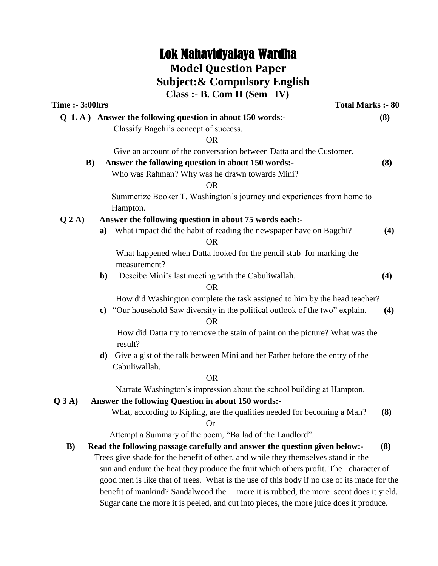# Lok Mahavidyalaya Wardha

# **Model Question Paper**

 **Subject:& Compulsory English**

|                        | Class :- B. Com II $(Sem - IV)$                                                             |     |
|------------------------|---------------------------------------------------------------------------------------------|-----|
| <b>Time :- 3:00hrs</b> | <b>Total Marks :- 80</b>                                                                    |     |
|                        | Q 1. A) Answer the following question in about 150 words:-                                  | (8) |
|                        | Classify Bagchi's concept of success.                                                       |     |
|                        | <b>OR</b>                                                                                   |     |
|                        | Give an account of the conversation between Datta and the Customer.                         |     |
|                        | Answer the following question in about 150 words:-<br>$\bf{B})$                             | (8) |
|                        | Who was Rahman? Why was he drawn towards Mini?                                              |     |
|                        | <b>OR</b>                                                                                   |     |
|                        | Summerize Booker T. Washington's journey and experiences from home to                       |     |
|                        | Hampton.                                                                                    |     |
| Q2A)                   | Answer the following question in about 75 words each:-                                      |     |
|                        | What impact did the habit of reading the newspaper have on Bagchi?<br>a)                    | (4) |
|                        | <b>OR</b>                                                                                   |     |
|                        | What happened when Datta looked for the pencil stub for marking the<br>measurement?         |     |
|                        | Descibe Mini's last meeting with the Cabuliwallah.<br>$\mathbf{b}$                          | (4) |
|                        | <b>OR</b>                                                                                   |     |
|                        | How did Washington complete the task assigned to him by the head teacher?                   |     |
|                        | c) "Our household Saw diversity in the political outlook of the two" explain.               | (4) |
|                        | <b>OR</b>                                                                                   |     |
|                        | How did Datta try to remove the stain of paint on the picture? What was the<br>result?      |     |
|                        | Give a gist of the talk between Mini and her Father before the entry of the<br>$\mathbf{d}$ |     |
|                        | Cabuliwallah.                                                                               |     |
|                        | <b>OR</b>                                                                                   |     |
|                        | Narrate Washington's impression about the school building at Hampton.                       |     |
| Q3A)                   | Answer the following Question in about 150 words:-                                          |     |
|                        | What, according to Kipling, are the qualities needed for becoming a Man?                    | (8) |
|                        | Or                                                                                          |     |
|                        | Attempt a Summary of the poem, "Ballad of the Landlord".                                    |     |
| $\bf{B})$              | Read the following passage carefully and answer the question given below:-                  | (8) |
|                        | Trees give shade for the benefit of other, and while they themselves stand in the           |     |
|                        | sun and endure the heat they produce the fruit which others profit. The character of        |     |
|                        | good men is like that of trees. What is the use of this body if no use of its made for the  |     |
|                        | benefit of mankind? Sandalwood the<br>more it is rubbed, the more scent does it yield.      |     |

Sugar cane the more it is peeled, and cut into pieces, the more juice does it produce.